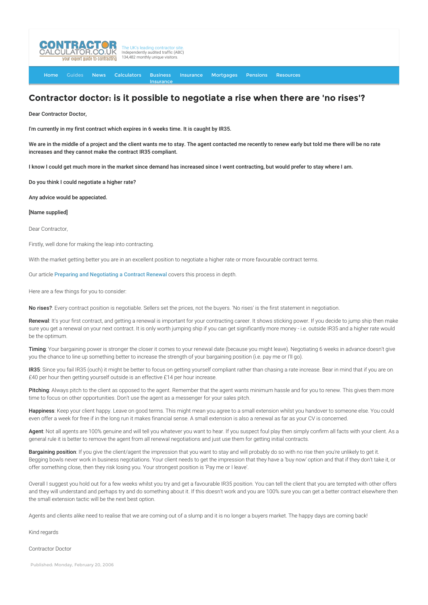

[Home](http://www.contractorcalculator.co.uk/) [Guides](http://www.contractorcalculator.co.uk/Articles.aspx) [News](http://www.contractorcalculator.co.uk/Contractor_News.aspx) [Calculators](http://www.contractorcalculator.co.uk/Calculators.aspx) Business Insurance **[Insurance](http://www.contractorcalculator.co.uk/Contractor_Insurances.aspx)** [Mortgages](http://www.contractorcalculator.co.uk/Contractor_Mortgages.aspx) [Pensions](http://www.contractorcalculator.co.uk/Contractor_Pensions.aspx) [Resources](http://www.contractorcalculator.co.uk/Contractor_Resources.aspx)

## **Contractor doctor: is it possible to negotiate a rise when there are 'no rises'?**

Dear Contractor Doctor,

I'm currently in my first contract which expires in 6 weeks time. It is caught by IR35.

We are in the middle of a project and the client wants me to stay. The agent contacted me recently to renew early but told me there will be no rate increases and they cannot make the contract IR35 compliant.

I know I could get much more in the market since demand has increased since I went contracting, but would prefer to stay where I am.

Do you think I could negotiate a higher rate?

Any advice would be appeciated.

## [Name supplied]

Dear Contractor,

Firstly, well done for making the leap into contracting.

With the market getting better you are in an excellent position to negotiate a higher rate or more favourable contract terms.

Our article [Preparing and Negotiating a Contract Renewal](http://www.contractorcalculator.co.uk/negotiating_contract_renewal.aspx) covers this process in depth.

Here are a few things for you to consider:

No rises?: Every contract position is negotiable. Sellers set the prices, not the buyers. 'No rises' is the first statement in negotiation.

Renewal: It's your first contract, and getting a renewal is important for your contracting career. It shows sticking power. If you decide to jump ship then make sure you get a renewal on your next contract. It is only worth jumping ship if you can get significantly more money - i.e. outside IR35 and a higher rate would be the optimum.

Timing: Your bargaining power is stronger the closer it comes to your renewal date (because you might leave). Negotiating 6 weeks in advance doesn't give you the chance to line up something better to increase the strength of your bargaining position (i.e. pay me or I'll go).

IR35: Since you fail IR35 (ouch) it might be better to focus on getting yourself compliant rather than chasing a rate increase. Bear in mind that if you are on £40 per hour then getting yourself outside is an effective £14 per hour increase.

Pitching: Always pitch to the client as opposed to the agent. Remember that the agent wants minimum hassle and for you to renew. This gives them more time to focus on other opportunities. Don't use the agent as a messenger for your sales pitch.

Happiness: Keep your client happy. Leave on good terms. This might mean you agree to a small extension whilst you handover to someone else. You could even offer a week for free if in the long run it makes financial sense. A small extension is also a renewal as far as your CV is concerned.

Agent: Not all agents are 100% genuine and will tell you whatever you want to hear. If you suspect foul play then simply confirm all facts with your client. As a general rule it is better to remove the agent from all renewal negotiations and just use them for getting initial contracts.

Bargaining position: If you give the client/agent the impression that you want to stay and will probably do so with no rise then you're unlikely to get it. Begging bowls never work in business negotiations. Your client needs to get the impression that they have a 'buy now' option and that if they don't take it, or offer something close, then they risk losing you. Your strongest position is 'Pay me or I leave'.

Overall I suggest you hold out for a few weeks whilst you try and get a favourable IR35 position. You can tell the client that you are tempted with other offers and they will understand and perhaps try and do something about it. If this doesn't work and you are 100% sure you can get a better contract elsewhere then the small extension tactic will be the next best option.

Agents and clients alike need to realise that we are coming out of a slump and it is no longer a buyers market. The happy days are coming back!

Kind regards

Contractor Doctor

Published: Monday, February 20, 2006